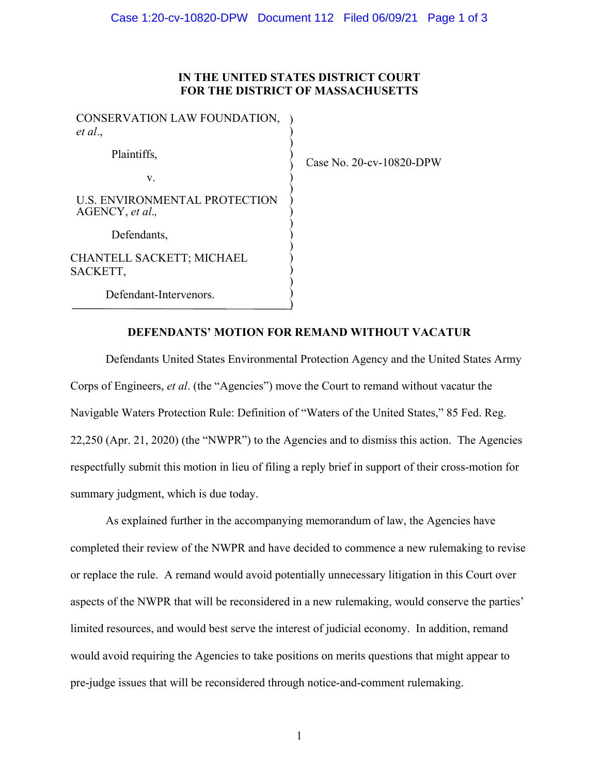## **IN THE UNITED STATES DISTRICT COURT FOR THE DISTRICT OF MASSACHUSETTS**

CONSERVATION LAW FOUNDATION, *et al*., Plaintiffs, v. U.S. ENVIRONMENTAL PROTECTION AGENCY, *et al*.*,* Defendants, CHANTELL SACKETT; MICHAEL SACKETT, Defendant-Intervenors. ) ) ) ) ) ) )  $\sum_{i=1}^{n}$  $\big)$  $\big)$ ) )  $\overline{)}$  $\sum_{i=1}^{n}$  $\big)$  $\sum_{i=1}^{n}$  $\int$ 

Case No. 20-cv-10820-DPW

## **DEFENDANTS' MOTION FOR REMAND WITHOUT VACATUR**

Defendants United States Environmental Protection Agency and the United States Army Corps of Engineers, *et al*. (the "Agencies") move the Court to remand without vacatur the Navigable Waters Protection Rule: Definition of "Waters of the United States," 85 Fed. Reg. 22,250 (Apr. 21, 2020) (the "NWPR") to the Agencies and to dismiss this action. The Agencies respectfully submit this motion in lieu of filing a reply brief in support of their cross-motion for summary judgment, which is due today.

As explained further in the accompanying memorandum of law, the Agencies have completed their review of the NWPR and have decided to commence a new rulemaking to revise or replace the rule. A remand would avoid potentially unnecessary litigation in this Court over aspects of the NWPR that will be reconsidered in a new rulemaking, would conserve the parties' limited resources, and would best serve the interest of judicial economy. In addition, remand would avoid requiring the Agencies to take positions on merits questions that might appear to pre-judge issues that will be reconsidered through notice-and-comment rulemaking.

1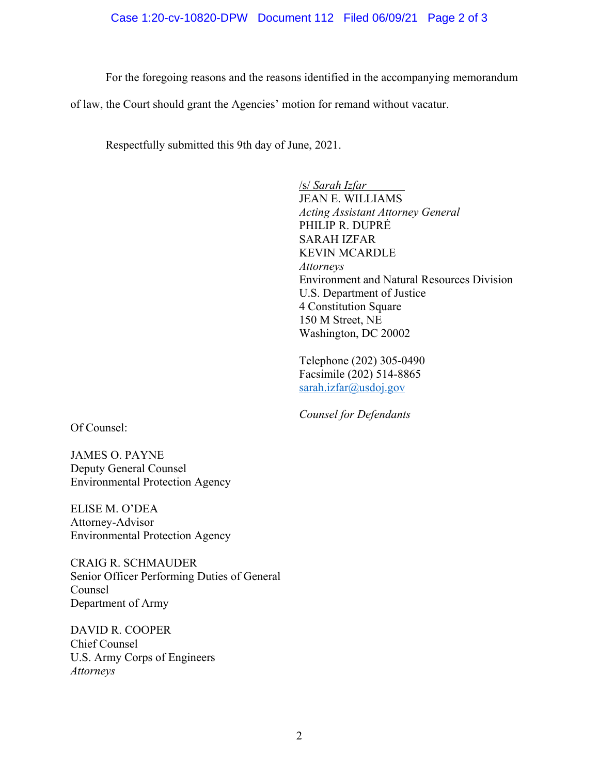## Case 1:20-cv-10820-DPW Document 112 Filed 06/09/21 Page 2 of 3

For the foregoing reasons and the reasons identified in the accompanying memorandum

of law, the Court should grant the Agencies' motion for remand without vacatur.

Respectfully submitted this 9th day of June, 2021.

/s/ *Sarah Izfar* JEAN E. WILLIAMS *Acting Assistant Attorney General* PHILIP R. DUPRÉ SARAH IZFAR KEVIN MCARDLE *Attorneys*  Environment and Natural Resources Division U.S. Department of Justice 4 Constitution Square 150 M Street, NE Washington, DC 20002

Telephone (202) 305-0490 Facsimile (202) 514-8865 sarah.izfar@usdoj.gov

*Counsel for Defendants*

Of Counsel:

JAMES O. PAYNE Deputy General Counsel Environmental Protection Agency

ELISE M. O'DEA Attorney-Advisor Environmental Protection Agency

CRAIG R. SCHMAUDER Senior Officer Performing Duties of General Counsel Department of Army

DAVID R. COOPER Chief Counsel U.S. Army Corps of Engineers *Attorneys*